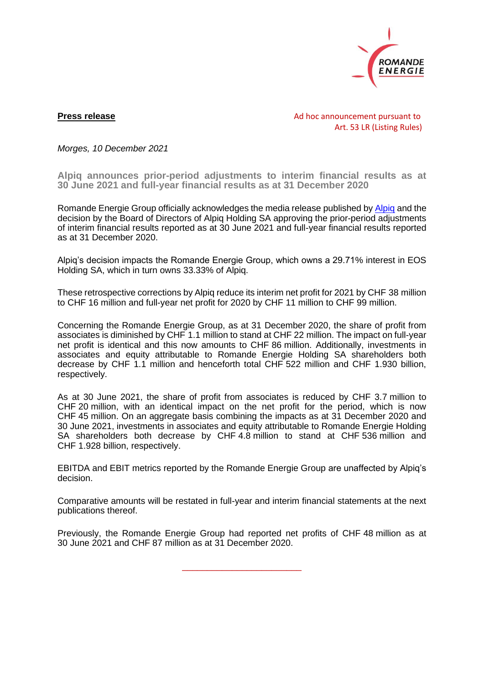

**Press release Ad hoc announcement pursuant to Ad hoc announcement pursuant to** Art. 53 LR (Listing Rules)

*Morges, 10 December 2021*

**Alpiq announces prior-period adjustments to interim financial results as at 30 June 2021 and full-year financial results as at 31 December 2020**

Romande Energie Group officially acknowledges the media release published by [Alpiq](https://www.alpiq.com/alpiq-group/investor-relations/ad-hoc-news/ad-hoc-news-detail/restatements-in-the-financial-reporting) and the decision by the Board of Directors of Alpiq Holding SA approving the prior-period adjustments of interim financial results reported as at 30 June 2021 and full-year financial results reported as at 31 December 2020.

Alpiq's decision impacts the Romande Energie Group, which owns a 29.71% interest in EOS Holding SA, which in turn owns 33.33% of Alpiq.

These retrospective corrections by Alpiq reduce its interim net profit for 2021 by CHF 38 million to CHF 16 million and full-year net profit for 2020 by CHF 11 million to CHF 99 million.

Concerning the Romande Energie Group, as at 31 December 2020, the share of profit from associates is diminished by CHF 1.1 million to stand at CHF 22 million. The impact on full-year net profit is identical and this now amounts to CHF 86 million. Additionally, investments in associates and equity attributable to Romande Energie Holding SA shareholders both decrease by CHF 1.1 million and henceforth total CHF 522 million and CHF 1.930 billion, respectively.

As at 30 June 2021, the share of profit from associates is reduced by CHF 3.7 million to CHF 20 million, with an identical impact on the net profit for the period, which is now CHF 45 million. On an aggregate basis combining the impacts as at 31 December 2020 and 30 June 2021, investments in associates and equity attributable to Romande Energie Holding SA shareholders both decrease by CHF 4.8 million to stand at CHF 536 million and CHF 1.928 billion, respectively.

EBITDA and EBIT metrics reported by the Romande Energie Group are unaffected by Alpiq's decision.

Comparative amounts will be restated in full-year and interim financial statements at the next publications thereof.

Previously, the Romande Energie Group had reported net profits of CHF 48 million as at 30 June 2021 and CHF 87 million as at 31 December 2020.

\_\_\_\_\_\_\_\_\_\_\_\_\_\_\_\_\_\_\_\_\_\_\_\_